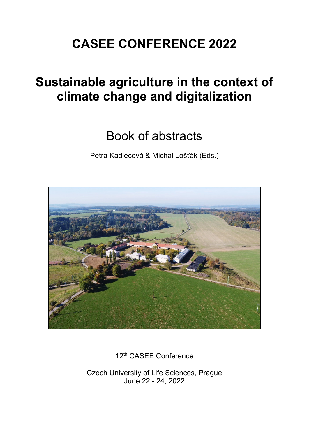# **CASEE CONFERENCE 2022**

# **Sustainable agriculture in the context of climate change and digitalization**

# Book of abstracts

Petra Kadlecová & Michal Lošťák (Eds.)



12<sup>th</sup> CASEE Conference

Czech University of Life Sciences, Prague June 22 - 24, 2022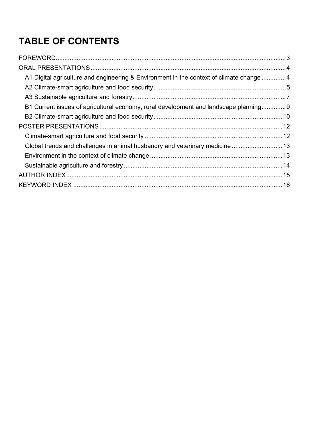# **TABLE OF CONTENTS**

| A1 Digital agriculture and engineering & Environment in the context of climate change 4 |  |
|-----------------------------------------------------------------------------------------|--|
|                                                                                         |  |
|                                                                                         |  |
| B1 Current issues of agricultural economy, rural development and landscape planning9    |  |
|                                                                                         |  |
|                                                                                         |  |
|                                                                                         |  |
| Global trends and challenges in animal husbandry and veterinary medicine  13            |  |
|                                                                                         |  |
|                                                                                         |  |
|                                                                                         |  |
|                                                                                         |  |
|                                                                                         |  |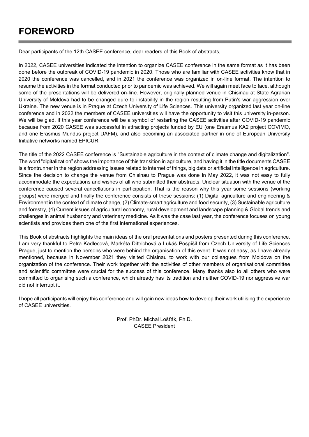## **FOREWORD**

Dear participants of the 12th CASEE conference, dear readers of this Book of abstracts,

In 2022, CASEE universities indicated the intention to organize CASEE conference in the same format as it has been done before the outbreak of COVID-19 pandemic in 2020. Those who are familiar with CASEE activities know that in 2020 the conference was cancelled, and in 2021 the conference was organized in on-line format. The intention to resume the activities in the format conducted prior to pandemic was achieved. We will again meet face to face, although some of the presentations will be delivered on-line. However, originally planned venue in Chisinau at State Agrarian University of Moldova had to be changed dure to instability in the region resulting from Putin's war aggression over Ukraine. The new venue is in Prague at Czech University of Life Sciences. This university organized last year on-line conference and in 2022 the members of CASEE universities will have the opportunity to visit this university in-person. We will be glad, if this year conference will be a symbol of restarting the CASEE activities after COVID-19 pandemic because from 2020 CASEE was successful in attracting projects funded by EU (one Erasmus KA2 project COVIMO, and one Erasmus Mundus project DAFM), and also becoming an associated partner in one of European University Initiative networks named EPICUR.

The title of the 2022 CASEE conference is "Sustainable agriculture in the context of climate change and digitalization". The word "digitalization" shows the importance of this transition in agriculture, and having it in the title documents CASEE is a frontrunner in the region addressing issues related to internet of things, big data or artificial intelligence in agriculture. Since the decision to change the venue from Chisinau to Prague was done in May 2022, it was not easy to fully accommodate the expectations and wishes of all who submitted their abstracts. Unclear situation with the venue of the conference caused several cancellations in participation. That is the reason why this year some sessions (working groups) were merged and finally the conference consists of these sessions: (1) Digital agriculture and engineering & Environment in the context of climate change, (2) Climate-smart agriculture and food security, (3) Sustainable agriculture and forestry, (4) Current issues of agricultural economy, rural development and landscape planning & Global trends and challenges in animal husbandry and veterinary medicine. As it was the case last year, the conference focuses on young scientists and provides them one of the first international experiences.

This Book of abstracts highlights the main ideas of the oral presentations and posters presented during this conference. I am very thankful to Petra Kadlecová, Markéta Dittrichová a Lukáš Pospíšil from Czech University of Life Sciences Prague, just to mention the persons who were behind the organisation of this event. It was not easy, as I have already mentioned, because in November 2021 they visited Chisinau to work with our colleagues from Moldova on the organization of the conference. Their work together with the activities of other members of organisational committee and scientific committee were crucial for the success of this conference. Many thanks also to all others who were committed to organising such a conference, which already has its tradition and neither COVID-19 nor aggressive war did not interrupt it.

I hope all participants will enjoy this conference and will gain new ideas how to develop their work utilising the experience of CASEE universities.

> Prof. PhDr. Michal Lošťák, Ph.D. CASEE President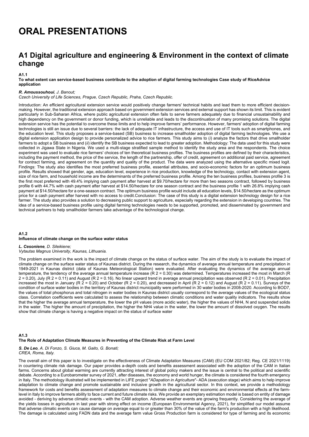## **ORAL PRESENTATIONS**

## **A1 Digital agriculture and engineering & Environment in the context of climate change**

#### **A1.1**

#### **To what extent can service-based business contribute to the adoption of digital farming technologies Case study of RiceAdvice application**

#### *R. Amoussouhoui, J. Banout;*

*Czech University of Life Sciences, Prague, Czech Republic, Praha, Czech Republic.* 

Introduction: An efficient agricultural extension service would positively change farmers' technical habits and lead them to more efficient decisionmaking. However, the traditional extension approach based on government extension services and external support has shown its limit. This is evident particularly in Sub-Saharan Africa, where public agricultural extension often fails to serve farmers adequately due to financial unsustainability and high dependency on the government or donor funding, which is unreliable and leads to the discontinuation of many promising solutions. The digital extension service has the potential to overcome these limits and to help improve farmers' performance. However, farmers' adoption of digital farming technologies is still an issue due to several barriers: the lack of adequate IT infrastructure, the access and use of IT tools such as smartphones, and the education level. This study proposes a service-based (SB) business to increase smallholder adoption of digital farming technologies. We use a digital extension application design to provide personalized advice to rice farmers. This study aims to (*i*) analyze the factors that drive smallholder farmers to adopt a SB business and (*ii*) identify the SB business expected to lead to greater adoption. Methodology: The data used for this study were collected in Jigawa State in Nigeria. We used a multi-stage stratified sample method to identify the study area and the respondents. The choice experiment was used to evaluate rice farmers' choices of ten theoretical business profiles. The business profiles are defined by their characteristics, including the payment method, the price of the service, the length of the partnership, offer of credit, agreement on additional paid service, agreement for contract farming, and agreement on the quantity and quality of the product. The data were analyzed using the alternative specific mixed logit. Findings: The study also identifies the most preferred business profile, essential attributes, and socio-economic factors for an optimum business profile. Results showed that gender, age, education level, experience in rice production, knowledge of the technology, contact with extension agent, size of rice farm, and household income are the determinants of the preferred business profile. Among the ten business profiles, business profile 3 is the first most preferred with 49.4% implying cash payment after harvest at \$9.70/hectare for more than two seasons contract, followed by business profile 6 with 44.7% with cash payment after harvest at \$14.50/hectare for one season contract and the business profile 1 with 26.8% implying cash payment at \$14.50/hectare for a one-season contract. The optimum business profile would include all education levels, \$14.50/hectare as the optimum price for a cash payment after harvest with no access to credit.Conclusion: The case of this study is a digital extension technology design for a rice farmer. The study also provides a solution to decreasing public support to agriculture, especially regarding the extension in developing countries. The idea of a service-based business profile using digital farming technologies needs to be supported, promoted, and disseminated by government and technical partners to help smallholder farmers take advantage of the technological change.

#### **A1.2 Influence of climate change on the surface water status**

#### *L. Cesoniene, D. Sileikiene; Vytautas Magnus University, Kaunas, Lithuania.*

The problem examined in the work is the impact of climate change on the status of surface water. The aim of the study is to evaluate the impact of climate change on the surface water status of Kaunas district. During the research, the dynamics of average annual temperature and precipitation in 1949-2021 in Kaunas district (data of Kaunas Meteorological Station) were evaluated. After evaluating the dynamics of the average annual temperature, the tendency of the average annual temperature increase (R 2 = 0.30) was determined. Temperatures increased the most in March (R  $2 = 0.20$ ), July (R  $2 = 0.11$ ) and August (R  $2 = 0.16$ ). No linear upward trend in average annual precipitation was observed (R  $2 = 0.01$ ). Precipitation increased the most in January (R  $\ge$  = 0.20) and October (R 2 = 0.20), and decreased in April (R 2 = 0.12) and August (R 2 = 0.11). Surveys of the condition of surface water bodies in the territory of Kaunas district municipality were performed in 30 water bodies in 2008-2020. According to BOD7, the values of total phosphorus and total nitrogen in water bodies in Kaunas district usually correspond to the average values of the ecological status class. Correlation coefficients were calculated to assess the relationship between climatic conditions and water quality indicators. The results show that the higher the average annual temperature, the lower the pH values (more acidic water), the higher the values of NH4, N and suspended solids in the water. The higher the amount of precipitation, the higher the NH4 value in the water, the lower the amount of dissolved oxygen. The results show that climate change is having a negative impact on the status of surface water

#### **A1.3 The Role of Adaptation Climate Measures in Preventing of the Climate Risk at Farm Level**

#### *S. De Leo, A. Di Fonzo, S. Giuca, M. Gaito, G. Bonati; CREA, Roma, Italy.*

The overall aim of this paper is to investigate on the effectiveness of Climate Adaptation Measures (CAM) (EU COM 2021/82; Reg. CE 2021/1119) in countering climate risk damage. Our paper provides a-depth costs and benefits assessment associated with the adoption of the CAM in Italian farms. Concerns about global warming are currently attracting interest of global policy makers and the issue is central to the political and scientific debate. According to a Eurobarometer survey of 2021, after diseases, the economy and world hunger, the climate is considered the fourth emergency in Italy. The methodology illustrated will be implemented in LIFE project "*ADapation in Agriculture*"- ADA (execution stage) which aims to help improve adaptation to climate change and promote sustainable and inclusive growth in the agricultural sector. In this context, we provide a methodology framework for costs and benefits assessment of adaptation measures to climate change and their economic and environmental effects at the farmlevel in Italy to improve farmers ability to face current and future climate risks. We provide an exemplary estimation model is based on entity of damage avoided - deriving by adverse climatic events - with the CAM adoption. Adverse weather events are growing frequently. Considering the average of the yields losses in agriculture in last year with strong effect on income (European Environmental Agency, 2021), for simplified our model assume that adverse climatic events can cause damage on average equal to or greater than 30% of the value of the farm's production with a high likelihood. The damage is calculated using FADN data and the average farm value Gross Production farm is considered for type of farming and its economic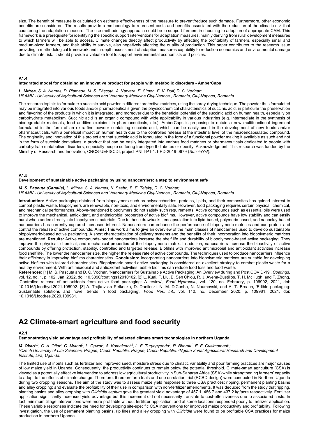size. The benefit of measure is calculated on estimate effectiveness of the measure to prevent/reduce such damage. Furthermore, other economic benefits are considered. The results provide a methodology to represent costs and benefits associated with the reduction of the climatic risk that countering the adaptation measure. The use methodology approach could be to support farmers in choosing to adoption of appropriate CAM. This framework is a prerequisite for identifying the specific support interventions for adaptation measures, mainly deriving from rural development measures to which farmers will be able to access. Climate changes directly affect productivity by affecting the profitability of farmers, especially small and medium-sized farmers, and their ability to survive, also negatively affecting the quality of production. This paper contributes to the research issue providing a methodological framework and in-depth assessment of adaption measures capability to reduction economics and environmental damage due to climate risk. It should provide a valuable tool to support environmental economists and policies.

#### **A1.4**

#### **Integrated model for obtaining an innovative product for people with metabolic disorders - AmberCaps**

*L. Mitrea, S. A. Nemeș, D. Plamadă, M. S. Pășcuță, A. Varvara, E. Simon, F. V. Dulf, D. C. Vodnar; USAMV - University of Agricultural Sciences and Veterinary Medicine Cluj-Napoca , Romania, Cluj-Napoca, Romania.* 

The research topic is to formulate a succinic acid powder in different protective matrices, using the spray-drying technique. The powder thus formulated may be integrated into various foods and/or pharmaceuticals given the physicochemical characteristics of succinic acid, in particular the preservation and flavoring of the products in which it is integrated, and moreover due to the beneficial potential of the succinic acid on human health, especially on carbohydrate metabolism. Succinic acid is an organic compound with wide applicability in various industries (e.g. intermediate in the synthesis of biodegradable materials, food additive excipient in pharmaceuticals, etc.). AmberCaps is proposing to obtain a new multifunctional ingredient formulated in the form of an extra-fine powder containing succinic acid, which can be easily used in the development of new foods and/or pharmaceuticals, with a beneficial impact on human health due to the controlled release at the intestinal level of the microencapsulated compound. The originality and innovation of this project are that succinic acid is formulated in the form of a functional powder making it available as such and not in the form of succinic derivatives, a product that can be easily integrated into various food matrices or pharmaceuticals dedicated to people with carbohydrate metabolism disorders, especially people suffering from type II diabetes or obesity. Acknowledgment: This research was funded by the Ministry of Research and Innovation, CNCS-UEFISCDI, project PNIII-P1-1.1-PD-2019-0679 (*SuccinYst*).

#### **A1.5**

#### **Development of sustainable active packaging by using nanocarriers: a step to environment safe**

*M. S. Pascuta (Canalis), L. Mitrea, S. A. Nemes, K. Szabo, B. E. Teleky, D. C. Vodnar; USAMV - University of Agricultural Sciences and Veterinary Medicine Cluj-Napoca , Romania, Cluj-Napoca, Romania.* 

**Introduction:** Active packaging obtained from biopolymers such as polysaccharides, proteins, lipids, and their composites has gained interest to combat plastic waste. Biopolymers are renewable, non-toxic, and environmentally safe. However, food packaging requires certain physical, chemical, and mechanical performances. Above-mentioned biopolymers do not satisfy such requirements. Active compounds such as essential oils were used to improve the mechanical, antioxidant, and antimicrobial properties of active biofilms. However, active compounds have low stability and can easily burst when added directly into biopolymeric materials. Due to these drawbacks, encapsulation into lipid-based, polymeric-based, and nanoclay-based nanocarriers has currently captured increased interest. Nanocarriers can enhance the performance of biopolymeric matrices and can protect and control the release of active compounds. **Aims:** This work aims to give an overview of the main classes of nanocarriers used to develop sustainable biopolymeric-based active packaging. A short characterization of delivery systems and the benefits of their incorporation into biopolymeric matrices are mentioned. **Results:** Active compounds-loaded nanocarriers increase the shelf life and durability of biopolymeric-based active packaging. They improve the physical, chemical, and mechanical properties of the biopolymeric matrix. In addition, nanocarriers increase the bioactivity of active compounds by offering protection, stability, controlled and targeted release. Biofilms with improved antimicrobial and antioxidant activities increase food shelf life. The lower the nanocarrier size, the higher the release rate of active compounds. The techniques used to produce nanocarriers influence their efficiency in improving biofilms characteristics. **Conclusion:** Incorporating nanocarriers into biopolymeric matrices are suitable for developing active biofilms with tailored characteristics. Biopolymeric-based active packaging is considered an excellent strategy to combat plastic waste for a healthy environment. With antimicrobial and antioxidant activities, edible biofilms can reduce food loss and food waste.

**References:** [1] M. S. Pascuta and D. C. Vodnar, 'Nanocarriers for Sustainable Active Packaging: An Overview during and Post COVID-19', *Coatings*, vol. 12, no. 1, p. 102, Jan. 2022, doi: 10.3390/coatings12010102. [2] L. Kuai, F. Liu, B. Sen Chiou, R. J. Avena-Bustillos, T. H. McHugh, and F. Zhong, 'Controlled release of antioxidants from active food packaging: A review', *Food Hydrocoll.*, vol. 120, no. February, p. 106992, 2021, doi: 10.1016/j.foodhyd.2021.106992. [3] A. Trajkovska Petkoska, D. Daniloski, N. M. D'Cunha, N. Naumovski, and A. T. Broach, 'Edible packaging: Sustainable solutions and novel trends in food packaging', *Food Res. Int.*, vol. 140, no. December 2020, p. 109981, 2021, doi: 10.1016/j.foodres.2020.109981.

### **A2 Climate-smart agriculture and food security**

**A2.1** 

**Demonstrating yield advantage and profitability of selected climate smart technologies in northern Uganda** 

*M. Okao<sup>1,2</sup>, G. A. Otim<sup>2</sup>, G. Mutoni<sup>2</sup>, L. Ogwal<sup>2</sup>, A. Komaketch<sup>2</sup>, L. F. Turyagyenda<sup>2</sup>, R. Bharati<sup>1</sup>, E. F. Cusimamani<sup>1</sup>;<br><sup>1</sup>Czech University of Life Sciences, Prague, Czech Penublic, Prague, Czech Penublic, <sup>2</sup>N Czech University of Life Sciences, Prague, Czech Republic, Prague, Czech Republic, 2 Ngetta Zonal Agricultural Research and Development Institute, Lira, Uganda.* 

The limited use of inputs such as fertilizer and improved seed, moisture stress due to climatic variability and poor farming practices are major causes of low maize yield in Uganda. Consequently, the productivity continues to remain below the potential threshold. Climate-smart agriculture (CSA) is viewed as a potentially effective intervention to address low agricultural productivity in Sub-Saharan Africa (SSA) while strengthening farmers' capacity to adapt to the effects of climate change. Therefore, three on-farm trials and one on-station trial (RCBD design) were conducted in Northern Uganda during two cropping seasons. The aim of the study was to assess maize yield response to three CSA practices; ripping, permanent planting basins and alley cropping; and evaluate the profitability of their use in comparison with non-fertilizer amendments. It was deduced from the study that ripping, planting basins and alley cropping with *Gliricidia sepium* gave the greatest yield advantage of 457.1, 456.7 and 437.2 kg/acre respectively. Fertilizer application significantly increased yield advantage but this increment did not necessarily translate to cost-effectiveness due to associated costs. In fact, minimum tillage interventions were more profitable without fertilizer application; and at some locations responded poorly to fertilizer application. These variable responses indicate the need for developing site-specific CSA interventions for improved maize productivity and profitability. Following investigation, the use of permanent planting basins, rip lines and alley cropping with *Gliricidia* were found to be profitable CSA practices for maize production in northern Uganda.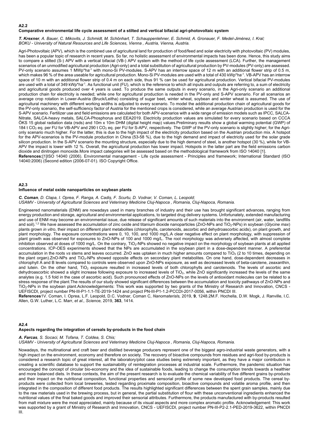#### **A2.2**

#### **Comparative environmental life cycle assessment of a stilted and vertical bifacial agri-photovoltaic system**

*T. Krexner, A. Bauer, C. Mikovits, J. Schmidt, M. Schönhart, T. Schauppenlehner, E. Schmid, A. Gronauer, F. Medel-Jiménez, I. Kral; BOKU - University of Natural Resources and Life Sciences, Vienna , Austria, Vienna, Austria.* 

Agri-Photovoltaic (APV), which is the combined use of agricultural land for production of food/feed and solar electricity with photovoltaic (PV) modules, has been a popular topic of research in recent years. So far, no holistic assessment of environmental impacts has been done. Hence, this study aims to compare a stilted (S-) APV with a vertical bifacial (VB-) APV system with the method of life cycle assessment (LCA). Further, the management scenarios of an unmodified agricultural production (Agri-only) and a total substitution of agricultural production by PV-modules (PV-only) are assessed. PV-only scenario assumes 1 MWp\*ha<sup>-1</sup> with mono-Si PV-modules. S-APV has an interrow space of 12 m with an additional flower strip of 0.5 m. which makes 96 % of the area useable for agricultural production. Mono-Si PV-modules are used with a total of 430 kWp\*ha<sup>-1</sup>. VB-APV has an interrow space of 10 m with an additional flower strip of 0.4 m on each side, thus 91 % can be used for agricultural production. Vertical bifacial PV-modules are used with a total of 349 kWp\*ha<sup>-1</sup>. As functional unit (FU), which is the reference to which all inputs and outputs are referring to, a sum of electricity and agricultural goods produced over 4 years is used. To produce the same outputs in every scenario, in the Agri-only scenario an additional production chain for electricity is needed; while one for agricultural production is needed in the PV-only and S-APV scenario. For all scenarios an average crop rotation in Lower-Austria (Bruck/Leitha) consisting of sugar beet, winter wheat, soybean and winter wheat is assumed. The use of agricultural machinery with different working widths is adjusted to every scenario. To model the additional production chain of agricultural goods for the PV-only scenario, the self-sufficiency factor of Austria for the mentioned crops is considered, while an average Austrian production is used for the S-APV scenario. Fertilizer use and field emissions are calculated for both APV-scenarios with a wide range of emission models such as IPCC, SALCA-Nitrate, SALCA-heavy metals, SALCA-Phosphorus and EEA2019. Electricity production values are simulated for every scenario based on CCCA ÖKS 15 global radiation data (rsds) and 10m x 10m DHM (digital height map) values.Preliminary results show a global warming potential (GWP) of 184 t CO<sub>2</sub> eq. per FU for VB-APV and 290 t CO<sub>2</sub> eq. per FU for S-APV, respectively. The GWP of the PV-only scenario is slightly higher; for the Agrionly scenario much higher. For the latter, this is due to the high impact of the electricity production based on the Austrian production mix. A hotspot for the APV-scenarios is the PV-module production in China (53-58 %), due to the high demand and impact of electricity used for the solar grade silicon production. In the S-APV scenario the mounting structure, especially due to the high demand of steel, is another hotspot (30 %), while for VB-APV the impact is lower with 12 %. Overall, the agricultural production has lower impact. Hotspots in the latter part are the field emissions carbon dioxide and dinitrogen monoxide.More impact categories will be assessed based on the methodological framework from ISO 14040 [1]. **References:**[1]ISO 14040 (2006). Environmental management - Life cycle assessment - Principles and framework; International Standard (ISO 14040:2006) (Second edition (2006-07-01). ISO Copyright Office.

#### **A2.3**

#### **Influence of metal oxide nanoparticles on soybean plants**

*C. Coman, D. Clapa, I. Oprea, F. Ranga, A. Cadiș, F. Scurtu, D. Vodnar, V. Coman, L. Leopold; USAMV - University of Agricultural Sciences and Veterinary Medicine Cluj-Napoca , Romania, Cluj-Napoca, Romania.* 

Engineered nanomaterials (ENM) are nowadays used in many branches of industry and their use has brought significant advances, ranging from energy production and storage, agricultural and environmental applications, to targeted drug delivery systems. Unfortunately, extended manufacturing and use of ENM may become an environmental issue, due release of significant amounts of such materials into the environment (air, water, landfills and soil).<sup>1,2</sup> We have assessed the accumulation of zinc oxide and titanium dioxide nanoparticles (ZnO-NPs and TiO<sub>2</sub>-NPs) in soybean (*Glycine max*) plants grown *in vitro*, their impact on different plant metabolites (chlorophylls, carotenoids, ascorbic and dehydroascorbic acids), on plant growth, and plant morphology. The exposure concentrations were 0, 10, 100, and 1000 mg/L.A clear negative effect on plant morphology, with suppression of plant growth was observed for exposures to ZnO-NPs of 100 and 1000 mg/L. The root morphology was adversely affected, with almost complete inhibition observed at doses of 1000 mg/L. On the contrary, TiO2-NPs showed no negative impact on the morphology of soybean plants at all applied concentrations. ICP-OES experiments showed that the NPs are accumulated in the soybean plant in a dose-dependent manner. A preferential accumulation in the roots *vs* stems and leaves occurred. ZnO was uptaken in much higher amounts compared to TiO<sub>2</sub> (2 to 10 times, depending on the plant organ).ZnO-NPs and TiO<sub>2</sub>-NPs showed opposite effects on secondary plant metabolites. On one hand, dose-dependent decreases in chlorophyll A and B levels compared to controls were observed upon ZnO-NPs exposure, as well as decreased levels of beta-carotene, zeaxanthin, and lutein. On the other hand, TiO<sub>2</sub> exposure resulted in increased levels of both chlorophylls and carotenoids. The levels of ascorbic and dehydroascorbic showed a slight increase following exposure to increased levels of TiO<sub>2</sub>, while ZnO significantly increased the levels of the same analytes (e.g. 1.5 fold in the case of ascorbic acid). Such pronounced effects of ZnO-NPs on the levels of antioxidant molecules can be related to a stress response of the plant.The results of our study showed significant differences between the accumulation and toxicity pathways of ZnO-NPs and TiO2-NPs in the soybean plant.Acknowledgements: This work was supported by two grants of the Ministry of Research and Innovation, CNCS - UEFISCDI, project number PN-III-P1-1.1-TE-2019-1424 and project PN-III-P1-1.2-PCCDI-2017-0056, within PNCDI III.

**References**1V. Coman, I. Oprea, L.F. Leopold, D.C. Vodnar, Coman C, *Nanomaterisls,* 2019, **9**, 1248.2M.F. Hochella, D.W. Mogk, J. Ranville, I.C. Allen, G.W. Luther, L.C. Marr, *et al., Science,* 2019, **363**, 1414.

#### **A2.4**

#### **Aspects regarding the integration of cereals by-products in the food chain**

#### *A. Farcas, S. Socaci, M. Tofana, T. Coldea, S. Chis;*

*USAMV - University of Agricultural Sciences and Veterinary Medicine Cluj-Napoca , Romania, Cluj-Napoca, Romania.* 

Nowadays, the multinational and craft beer and distilled beverage producers represent one of the biggest agro-industrial waste generators, with a high impact on the environment, economy and therefore on society. The recovery of bioactive compounds from residues and agri-food by-products is considered a research topic of great interest, all the laboratory/pilot case studies being extremely important, as they have a major contribution in creating a scientific database to support the sustainability of reintegration processes at industrial scale. Furthermore, the pandemic situation has encouraged the concept of circular bio-economy and the idea of sustainable foods, leading to change the consumption trends towards a healthier and more balanced diets. In these contexts, the aim of the present research is to evaluate the chemical variability of five different grains by-products and their impact on the nutritional composition, functional properties and sensorial profile of some new developed food products. The cereal byproducts were collected from local breweries, tested regarding proximate composition, bioactive compounds and volatile aroma profile, and then integrated in the composition of different food products. The results highlighted significant differences between the spent grain samples, mainly due to the raw materials used in the brewing process, but in general, the partial substitution of flour with these unconventional ingredients enhanced the nutritional values of the final baked goods and improved their sensorial attributes. Furthermore, the products manufactured with by-products resulted from malt mixture were the most appreciated, mainly because of its visual aspects and more complex aromatic profile. Acknowledgement: This work was supported by a grant of Ministry of Research and Innovation, CNCS - UEFISCDI, project number PN-III-P2-2.1-PED-2019-3622, within PNCDI III.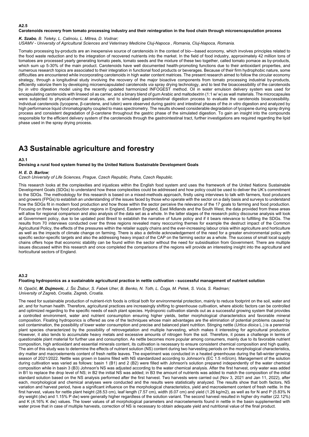#### **A2.5**

#### **Carotenoids recovery from tomato processing industry and their reintegration in the food chain through microencapsulation process**

*K. Szabo, B. Teleky, L. Calinoiu, L. Mitrea, D. Vodnar;* 

*USAMV - University of Agricultural Sciences and Veterinary Medicine Cluj-Napoca , Romania, Cluj-Napoca, Romania.* 

Tomato processing by-products are an inexpensive source of carotenoids in the context of bio—based economy, which involves principles related to the food waste reduction and to the integration of recovered nutrients into the market. In the field of food industry, approximately 42 million tons of tomatoes are processed yearly generating tomato peels, tomato seeds and the mixture of these two together, called tomato pomace as by-products, which sum up 5-30% of the main product. Carotenoids have well documented health-promoting functions due to their antioxidant properties, and numerous research topics are associated to their integration in functional food products or beverages. Because of their firm hydrophobic nature, some difficulties are encountered while incorporating carotenoids in high water content matrices. The present research aimed to follow the circular economy strategy, through a longitudinal study involving the recovery of the major bioactive components from tomato processing industrial by-products, efficiently valorize them by developing microencapsulated carotenoids *via* spray drying technology, and to test the bioaccessibility of the carotenoids by *in vitro* digestion model using the recently updated harmonized INFOGEST method. Oil in water emulsion delivery system was used for encapsulating carotenoids with linseed oil as carrier, and a binary blend of gum Arabic and maltodextrin (1:1 w/ w) as wall materials. The microcapsules were subjected to physical-chemical analysis, and to simulated gastrointestinal digestion process to evaluate the carotenoids bioaccessibility. Individual carotenoids (lycopene, β-carotene, and lutein) were observed during gastric and intestinal phases of the *in vitro* digestion and analyzed by high performance liquid chromatography coupled to mass spectrometry. The results showed considerable degradation of lycopene during spray drying process and consistent degradation of β-carotene throughout the gastric phase of the simulated digestion. To gain an insight into the compounds responsible for the efficient delivery system of the carotenoids through the gastrointestinal tract, further investigations are required regarding the lipid phase used in the spray drying process.

## **A3 Sustainable agriculture and forestry**

#### **A3.1**

**Devising a rural food system framed by the United Nations Sustainable Development Goals** 

#### *H. E. D. Barlow;*

*Czech University of Life Sciences, Prague, Czech Republic, Praha, Czech Republic.* 

This research looks at the complexities and injustices within the English food system and uses the framework of the United Nations Sustainable Development Goals (SDGs) to understand how these complexities could be addressed and how policy could be used to deliver the UK's commitment to the SDGs. The methodology for this research is based on a mixed-methods approach, firstly using interviews to talk with farmers, food producers and growers (FPGs) to establish an understanding of the issues faced by those who operate with the sector on a daily basis and surveys to understand how the SDGs fit in modern food production and how those within the sector perceive the relevance of the 17 goals to farming and food production. Focusing on three key food production regions in England, Eastern England, East Midlands and the South West, the data provided from these areas will allow for regional comparison and also analysis of the data set as a whole. In the latter stages of the research policy discourse analysis will look at Government policy, due to be updated post Brexit to establish the narrative of future policy and if it bears relevance to fulfilling the SDGs. The results from 70 interviews conducted over the three regions revealed many reoccurring themes for example the destruct impact of the Common Agricultural Policy, the effects of the pressures within the retailer supply chains and the ever-increasing labour crisis within agriculture and horticulture as well as the impacts of climate change on farming. There is also a definite acknowledgement of the need for a greater environmental policy with specific sector-specific targets and also the addressing heavy impact of the CAP on the farming sector as a whole. The success of small local supply chains offers hope that economic stability can be found within the sector without the need for subsidisation from Government. There are multiple issues discussed within this research and once completed the comparisons of the regions will provide an interesting insight into the agricultural and horticultural sectors of England.

#### **A3.2**

#### **Floating hydroponics as a sustainable agricultural practice in nettle cultivation - successful management of nutrient solution**

*N. Opačić, M. Dujmovic, J. Šic Žlabur, S. Fabek Uher, B. Benko, N. Toth, L. Čoga, M. Petek, S. Voća, S. Radman; University of Zagreb, Croatia, Zagreb, Croatia.* 

The need for sustainable production of nutrient-rich foods is critical both for environmental protection, mainly to reduce footprint on the soil, water and air, and for human health. Therefore, agricultural practices are increasingly shifting to greenhouse cultivation, where abiotic factors can be controlled and optimized regarding to the specific needs of each plant species. Hydroponic cultivation stands out as a successful growing system that provides a controlled environment, water and nutrient consumption ensuring higher yields, better morphological characteristics and favorable mineral composition. Floating hydroponics is offered as one of the techniques whose main advantages are the elimination of potential problems caused by soil contamination, the possibility of lower water consumption and precise and balanced plant nutrition. Stinging nettle (*Urtica dioica* L.) is a perennial plant species characterized by the possibility of retrovegetation and multiple harvesting, which makes it interesting for agricultural production. However, it also tends to accumulate heavy metals and excessive amounts of nitrogen from the soil. Therefore, it poses a challenge in terms of questionable plant material for further use and consumption. As nettle becomes more popular among consumers, mainly due to its favorable nutrient composition, high antioxidant and essential minerals content, its cultivation is necessary to ensure consistent chemical composition and high quality. The aim of this study was to determine the effects of nutrient solution (NS) content during two harvesting periods on the morphological characteristics, dry matter and macroelements content of fresh nettle leaves. The experiment was conducted in a heated greenhouse during the fall-winter growing season of 2021/2022. Nettle was grown in basins filled with NS standardized according to Johnson's (EC 1.5 mS/cm). Management of the solution during cultivation was varied as follows: basin 1 (B1) and 2 (B2) were filled with Johnson's solution prepared independently of the water chemical composition while in basin 3 (B3) Johnson's NS was adjusted according to the water chemical analysis. After the first harvest, only water was added in B1 to replace the drop level of NS; in B2 the initial NS was added; in B3 the amount of nutrients was added to match the composition of the initial standard solution based on the NS analysis performed after the first harvest. Two harvests were carried out (Nov 3, 2021 and Jan 11, 2022), after each, morphological and chemical analyses were conducted and the results were statistically analyzed. The results show that both factors, NS variation and harvest period, have a significant influence on the morphological characteristics, yield and macroelement content of fresh nettle. In the first harvest, values for nettle plant height (28.53 cm), leaf length (7.57 cm), width (6.07 cm) and yield (1.26 kg/m2), as well as for N and P (5.83% N dry weight (dw) and 1.15% P dw) were generally higher regardless of the solution variant. The second harvest resulted in higher dry matter (22.12%) and K (4.16% K dw) values. The lower values of all morphological parameters and macroelements found in nettle in the basin supplemented with water prove that in case of multiple harvests, correction of NS is necessary to obtain adequate yield and nutritional value of the final product.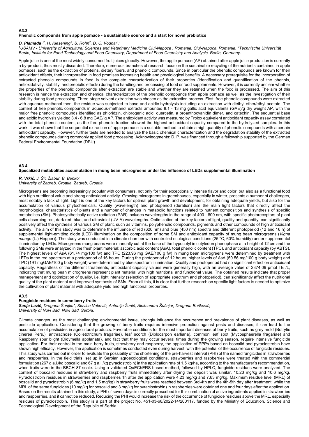#### **A3.3 Phenolic compounds from apple pomace - a sustainable source and a start for novel prebiotics**

### **D. Plamada<sup>1,2</sup>, H. Kieserling<sup>2</sup>, S. Rohn<sup>2</sup>, D. C. Vodnar<sup>1</sup>;<br><sup>1</sup>USAMV - University of Agricultural Sciences and Veter**

*USAMV - University of Agricultural Sciences and Veterinary Medicine Cluj-Napoca , Romania, Cluj-Napoca, Romania, 2 Technische Universität Berlin, Institute for Food Technology and Food Chemistry, Department of Food Chemistry and Analysis, Berlin, Germany.* 

Apple juice is one of the most widely consumed fruit juices globally. However, the apple pomace (AP) obtained after apple juice production is currently a by-product, thus mostly discarded. Therefore, numerous branches of research focus on the sustainable recycling of the nutrients contained in apple pomaces, such as the extraction of proteins, dietary fibers, and phenolic compounds. Since in particular the phenolic compounds are known for their antioxidant effects, their incorporation in food promises increasing health and physiological benefits. A necessary prerequisite for the incorporation of extracted phenolic compounds in food is the complete characterization of their properties (identification and quantification of the phenols, antioxidativity, stability, and prebiotic effects) during the handling and processing of food or food supplements. However, it is currently unclear whether the properties of the phenolic compounds after extraction are stable and whether they are retained when the food is processed. The aim of this research is hence the extraction and chemical characterization of the phenolic compounds from apple pomace as well as the investigation of their stability during food processing. Three-stage solvent extraction was chosen as the extraction process. First, free phenolic compounds were extracted with aqueous methanol then, the residue was subjected to base and acidic hydrolysis including an extraction with diethyl ether/ethyl acetate. The content of free phenolic compounds in aqueous-methanol extracts amounted 8.1 - 13 mg gallic acid equivalents (GAE)/g dry weight AP, with the major free phenolic compounds identified as phloridzin, chlorogenic acid, quercetin, a proanthocyanidin dimer, and catechin. The sequential base and acidic hydrolysis yielded 3.4 - 6.8 mg GAE/ g AP. The antioxidant activity was measured by Trolox equivalent antioxidant capacity assay correlated with the total phenolic content, as the free phenolic fraction showed the highest antioxidant capacity compared to the hydrolyzed samples. In this work, it was shown that the sequential extraction of apple pomace is a suitable method to obtain a high quantity of phenolic compounds with a certain antioxidant capacity. However, further tests are needed to analyze the basic chemical characterization and the degradation stability of the extracted phenolic compounds during commonly applied food processing. Acknowledgments: D. P. was financed through a fellowship supported by the German Federal Environmental Foundation (DBU).

#### **A3.4 Specalized metabolites accumulation in mung bean microgreens under the influence of LEDs supplemental illumination**

#### *R. Vrkić, J. Šic Žlabur, B. Benko; University of Zagreb, Croatia, Zagreb, Croatia.*

Microgreens are becoming increasingly popular with consumers, not only for their exceptionally intense flavor and color, but also as a functional food with high nutritional value and strong antioxidant activity. Growing microgreens in greenhouses, especially in winter, presents a number of challenges, most notably a lack of light. Light is one of the key factors for optimal plant growth and development, for obtaining adequate yields, but also for the accumulation of various phytochemicals. Quality (wavelength) and photoperiod (duration) are the main light factors that directly affect the morphological characteristics of plants and a number of changes in metabolic functions related to nutrient composition and synthesis of specific metabolites (SM). Photosynthetically active radiation (PAR) includes wavelengths in the range of 400 - 800 nm, with specific photoreceptors of plant cells absorbing red, dark red, blue, and ultraviolet (UV-A) wavelengths. Optimization of the key factors of light, quality and quantity, can significantly positively affect the synthesis of various SM of plant, such as vitamins, polyphenolic compounds, pigments and other compounds of high antioxidant activity. The aim of this study was to determine the influence of red (620 nm) and blue (450 nm) spectra and different photoperiod (12 and 16 h) of supplemental light-emitting diode (LED) illumination on the composition of some SM and antioxidant capacity of mung bean microgreens (*Vigna mungo* (L.) Hepper)). The study was conducted in a climate chamber with controlled ecological conditions (25 °C, 60% humidity) under supplemental illumination by LEDs. Microgreens mung beans were manually cut at the base of the hypocotyl in cotyledon phenophase at a height of 12 cm and the following SMs were analyzed in the fresh plant material: ascorbic acid content (AsA), total phenolic content (TPC), and antioxidant capacity (by ABTS). The highest levels of AsA (61.74 mg/100 fw) and TPC (223.96 mg GAE/100 g fw) in mung bean microgreens were determined by treatment with LEDs in the red spectrum at a photoperiod of 16 hours. During the photoperiod of 12 hours, higher levels of AsA (50.56 mg/100 g body weight) and TPC (191 mgGAE/100 g body weight) were determined by blue spectrum illumination. Quality and photoperiod had no significant effect on antioxidant capacity. Regardless of the different treatments, antioxidant capacity values were generally high, with an average value of 2374.09 µmol TE /L, indicating that mung bean microgreens represent plant material with high nutritional and functional value. The obtained results indicate that proper management and optimization of quality, i.e. light intensity (selection of appropriate spectrum and photoperiod), can significantly affect the nutritional quality of the plant material and improved synthesis of SMs. From all this, it is clear that further research on specific light factors is needed to optimize the cultivation of plant material with adequate yield and high functional properties.

#### **A3.5**

#### **Fungicide residues in some berry fruits**

*Sanja Lazić, Dragana Šunjka\*, Slavica Vuković, Antonije Žunić, Aleksandra Šušnjar, Dragana Bošković; University of Novi Sad, Novi Sad, Serbia.* 

Climate changes, as the most challenging environmental issue, strongly influence the occurrence and prevalence of plant diseases, as well as pesticide application. Considering that the growing of berry fruits requires intensive protection against pests and diseases, it can lead to the accumulation of pesticides in agricultural products. Favorable conditions for the most important diseases of berry fruits, such as grey mold (Botrytis cinerea Pers.), anthracnose (Colletotrichum fragariae), leaf scorch (Diplocarpon earliana), common leaf spot (Mycosphaerella fragariae) and Raspberry spur blight (Didymella applanata), and fact that they may occur several times during the growing season, require intensive fungicide application. For their control in the main berry fruits, strawberry and raspberry, the application of PPPs based on boscalid and pyraclostrobin have shown high efficacy. However, the application is sometimes conducted even during harvest, with the potential of the occurrence of fungicide residues. This study was carried out in order to evaluate the possibility of the shortening of the pre-harvest interval (PHI) of the named fungicides in strawberries and raspberries. In the field trials, set up in Serbian agroecological conditions, strawberries and raspberries were treated with the commercial formulation (267 g a.i./kg boscalid and 67 g a.i./kg pyraclostrobin) in the application rate of 1.5 kg/ha, according to the manufacturer's recommendation, when fruits were in the BBCH 87 scale. Using a validated QuEChERS-based method, followed by HPLC, fungicide residues were analyzed. The content of boscalid residues in strawberry and raspberry fruits immediately after drying the deposit was similar, 10.23 mg/kg and 10.6 mg/kg. Pyraclostrobin residues in strawberries and raspberries 1h after the application were 4.23 mg/kg and 7.63 mg/kg. Maximum residue level (MRL) of boscalid and pyraclostrobin (6 mg/kg and 1.5 mg/kg) in strawberry fruits were reached between 3rd-4th and the 4th-5th day after treatment, while the MRL of the same fungicides (10 mg/kg for boscalid and 3 mg/kg for pyraclostrobin) in raspberries were obtained one and four days after the application. Based on the results obtained in this study, a PHI of seven days is correctly prescribed for this combination of active ingredients applied in strawberries and raspberries, and it cannot be reduced. Reducing the PHI would increase the risk of the occurrence of fungicide residues above the MRL, especially residues of pyraclostrobin. This study is a part of the project No. 451-03-68/2022-14/200117, funded by the Ministry of Education, Science and Technological Development of the Republic of Serbia.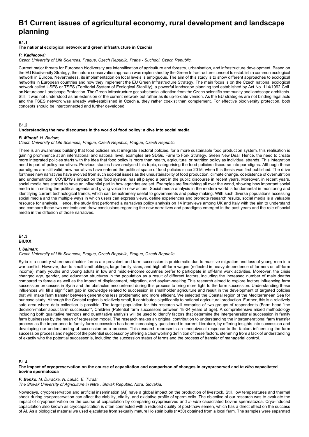## **B1 Current issues of agricultural economy, rural development and landscape planning**

#### **B1.1**

#### **The national ecological network and green infrastructure in Czechia**

#### *P. Kadlecová;*

*Czech University of Life Sciences, Prague, Czech Republic, Praha - Suchdol, Czech Republic.* 

Current major threats for European biodiversity are intensification of agriculture and forestry, urbanisation, and infrastructure development. Based on the EU Biodiversity Strategy, the nature conservation approach was replenished by the Green Infrastructure concept to establish a common ecological network in Europe. Nevertheless, its implementation on local levels is ambiguous. The aim of this study is to show different approaches to ecological networks in European countries and how they implement the EU Green Infrastructure Strategy. The main focus is on the Czech national ecological network called ÚSES or TSES (Territorial System of Ecological Stability), a powerful landscape planning tool established by Act No. 114/1992 Coll. on Nature and Landscape Protection. The Green Infrastructure got substantial attention from the Czech scientific community and landscape architects. Still, it was not understood as an extension of the current network but rather as its up-to-date version. As the EU strategies are not binding legal acts and the TSES network was already well-established in Czechia, they rather coexist than complement. For effective biodiversity protection, both concepts should be interconnected and further developed.

#### **B1.2**

#### **Understanding the new discourses in the world of food policy: a dive into social media**

#### *B. Minotti, H. Barlow;*

*Czech University of Life Sciences, Prague, Czech Republic, Prague, Czech Republic.* 

There is an awareness building that food policies must integrate sectoral policies, for a more sustainable food production system, this realisation is gaining prominence at an international and national level, examples are SDGs, Farm to Fork Strategy, Green New Deal. Hence, the need to create more integrated policies starts with the idea that food policy is more than health, agricultural or nutrition policy as individual strands. This integration need is part of policy narratives. Previous studies have analysed this topic, categorising the food policies discourse into paradigms. Although these paradigms are still valid, new narratives have entered the political space of food policies since 2015, when this thesis was first published. The drive for these new narratives have evolved from such societal issues as the unsustainability of food production, climate change, coexistence of overnutrition and undernutrition, COVID19's impact on the food system, has all played a part in the public discourse in recent years. Moreover, in recent years, social media has started to have an influential part in how agendas are set. Examples are flourishing all over the world, showing how important social media is in setting the political agenda and giving voice to new actors. Social media analysis in the modern world is fundamental in monitoring and identifying current technological trends, which can be extremely useful to governments and policy making. With such diverse populations accessing social media and the multiple ways in which users can express views, define experiences and promote research results, social media is a valuable resource for analysis. Hence, the study first performed a narratives policy analysis on 14 interviews among UK and Italy with the aim to understand and compare these two contexts and draw conclusions regarding the new narratives and paradigms emerged in the past years and the role of social media in the diffusion of those narratives.

#### **B1.3 BIUXX**

*I. Salman;* 

#### *Czech University of Life Sciences, Prague, Czech Republic, Prague, Czech Republic.*

Syria is a country where smallholder farms are prevalent and farm succession is problematic due to massive migration and loss of young men in a war conflict. However, due to small landholdings, large family sizes, and high off-farm wages (reflected in heavy dependence of farmers on off-farm income), many youths and young adults in low and middle-income countries prefer to participate in off-farm work activities. Moreover, the crisis changed age, gender, and education structures in the population as a result of different factors, including the increased number of male deaths compared to female as well as the impact of displacement, migration, and asylum-seeking This research aimed to explore factors influencing farm succession processes in Syria and the obstacles encountered during this process to bring more light to the farm succession. Understanding these influences will fill a significant gap in knowledge related to succession in smallholder agriculture and result in the development of targeted policies that will make farm transfer between generations less problematic and more efficient. We selected the Coastal region of the Mediterranean Sea for our case study. Although the Coastal region is relatively small, it contributes significantly to national agricultural production. Further, this is a relatively safe area where data collection is possible. The target population for this research will comprise of two groups of respondents (Farm head "the decision-maker about farm succession", Children (Potential farm successors between 18-24 years of age). A comprehensive mixed methodology including both qualitative methods and quantitative analysis will be used to identify factors that determine the intergenerational succession in family farm businesses by the mean of regression model. The research makes an original contribution to understanding the intergenerational farm transfer process as the importance to family farm succession has been increasingly questioned in current literature, by offering insights into succession and developing our understanding of succession as a process. This research represents an unequivocal response to the factors influencing the farm succession process and neglect of the potential successor by offering a clear working definition of these factors, stemming from a lack of understanding of exactly who the potential successor is, including the succession status of farms and the process of transfer of managerial control.

#### **B1.4**

**The impact of cryopreservation on the course of capacitation and comparison of changes in cryopreserved and** *in vitro* **capacitated bovine spermatozoa** 

#### *F. Benko, M. Ďuračka, N. Lukáč, E. Tvrdá;*

*The Slovak University of Agriculture in Nitra , Slovak Republic, Nitra, Slovakia.* 

Nowadays, cryopreservation and artificial insemination (AI) have a global impact on the production of livestock. Still, low temperatures and thermal shock during cryopreservation can affect the viability, vitality, and oxidative profile of sperm cells. The objective of our research was to evaluate the impact of cryopreservation on the course of capacitation by comparing cryopreserved and *in vitro* capacitated bovine spermatozoa. Cryo-induced capacitation also known as cryocapacitation is often connected with a reduced quality of post-thaw semen, which has a direct effect on the success of AI. As a biological material we used ejaculates from sexually mature Holstein bulls (n=30) obtained from a local farm. The samples were separated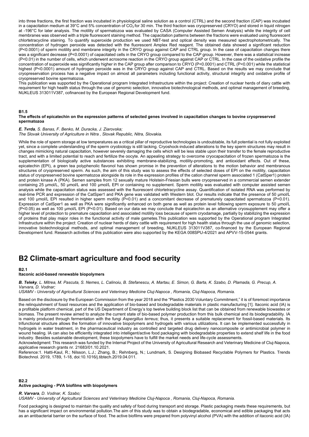into three fractions, the first fraction was incubated in physiological saline solution as a control (CTRL) and the second fraction (CAP) was incubated in a capacitation medium at 39°C and 5% concentration of  $CO<sub>2</sub>$  for 30 min. The third fraction was cryopreserved (CRYO) and stored in liquid nitrogen at -196°C for later analysis. The motility of spermatozoa was evaluated by CASA (Computer Assisted Semen Analysis) while the integrity of cell membranes was observed with a triple fluorescent staining method. The capacitation patterns between the fractions were evaluated using fluorescent chlortetracycline staining. To quantify superoxide production we used NBT-test and optical density was measured spectrophotometrically. The concentration of hydrogen peroxide was detected with the fluorescent Amplex Red reagent. The obtained data showed a significant reduction (P<0.0001) of sperm motility and membrane integrity in the CRYO group against CAP and CTRL group. In the case of capacitation changes there was a significant decrease (P<0.0001) of capacitated cells in the CRYO group compared to the CAP group. However, there was a statistical increase (P<0.01) in the number of cells, which underwent acrosome reaction in the CRYO group against CAP or CTRL. In the case of the oxidative profile the concentration of superoxide was significantly higher in the CAP group after comparison to CRYO (P<0.0001) and CTRL (P<0.001) while the statistical highest (P<0.0001) amount of hydrogen peroxide was in the CRYO group against CAP and CTRL. Based on the results we may conclude that cryopreservation process has a negative impact on almost all parameters including functional activity, structural integrity and oxidative profile of cryopreserved bovine spermatozoa.

This publication was supported by the Operational program Integrated Infrastructure within the project: Creation of nuclear herds of diary cattle with requirement for high health status through the use of genomic selection, innovative biotechnological methods, and optimal management of breeding, NUKLEUS 313011V387, cofinanced by the European Regional Development fund.

#### **B1.5**

#### **The effects of epicatechin on the expression patterns of selected genes involved in capacitation changes to bovine cryopreserved spermatozoa**

*E. Tvrda, S. Banas, F. Benko, M. Duracka, J. Ziarovska; The Slovak University of Agriculture in Nitra , Slovak Republic, Nitra, Slovakia.* 

While the role of sperm storage at low temperatures as a critical pillar of reproductive technologies is undoubtable, its full potential is not fully exploited yet, since a complete understanding of the sperm cryobiology is still lacking. Cryoshock-induced alterations to the key sperm structures may result in changes mimicking natural capacitation, however severely damaging the cells which will be less stable upon their transfer to the female reproductive tract, and with a limited potential to reach and fertilize the oocyte. An appealing strategy to overcome cryocapacitation of frozen spermatozoa is the supplementation of biologically active substances exhibiting membrane-stabilizing, motility-promoting, and antioxidant effects. Out of these, epicatechin (EPI), a green tea polyphenolic flavonol has shown promise in the prevention of alterations to the motion behavior and membranous structures of cryopreserved sperm. As such, the aim of this study was to assess the effects of selected doses of EPI on the motility, capacitation status of cryopreserved bovine spermatozoa alongside its role in the expression profiles of the cation channel sperm associated 1 (CatSper1) protein and protein kinase A (PKA). Semen samples from 12 sexually mature Holstein-Friesian bulls were cryopreserved in a commercial semen extender containing 25 μmol/L, 50 μmol/L and 100 μmol/L EPI or containing no supplement. Sperm motility was evaluated with computer assisted semen analysis while the capacitation status was assessed with the fluorescent chlortetracycline assay. Quantification of isolated RNA was performed by real-time PCR and expression of the CatSper1 and PKA gene was validated with Western blot. Our results indicate that the presence of 50 μmol/L and 100 μmol/L EPI resulted in higher sperm motility (P<0.01) and a concomitant decrease of prematurely capacitated spermatozoa (P<0.01). Expression of CatSper1 as well as PKA were significantly enhanced on both gene as well as protein level following sperm exposure to 50 μmol/L (P<0.05) as well as 100 μmol/L EPI (P<0.01). Based on our data we may conclude that epicatechin as an alternative cryosupplement may offer a higher level of protection to premature capacitation and associated motility loss because of sperm cryodamage, partially by stabilizing the expression of proteins that play major roles in the functional activity of male gametes.This publication was supported by the Operational program Integrated Infrastructure within the project: Creation of nuclear herds of dairy cattle with requirement for high health status through the use of genomic selection, innovative biotechnological methods, and optimal management of breeding, NUKLEUS 313011V387, co-financed by the European Regional Development fund. Research activities of this publication were also supported by the KEGA 008SPU-4/2021 and APVV-15-0544 grants.

### **B2 Climate-smart agriculture and food security**

#### **B2.1**

#### **Itaconic acid-based renewable biopolymers**

*B. Teleky, L. Mitrea, M. Pascuta, S. Nemes, L. Calinoiu, B. Stefanescu, A. Martau, E. Simon, G. Barta, K. Szabo, D. Plamada, G. Precup, A. Varvara, D. Vodnar;* 

*USAMV - University of Agricultural Sciences and Veterinary Medicine Cluj-Napoca , Romania, Cluj-Napoca, Romania.* 

Based on the disclosure by the European Commission from the year 2018 and the "Plastics 2030 Voluntary Commitment," it is of foremost importance the relinquishment of fossil resources and the application of bio-based and biodegradable materials in plastic manufacturing [1]. Itaconic acid (IA) is a profitable platform chemical, part of the US Department of Energy's top twelve building block list that can be obtained from renewable biowastes or biomass. The present review aimed to analyze the current state of bio-based polymer production from this bulk chemical and its biodegradability. IA is mainly produced through fermentation with the fungi *Aspergillus terreus*; thus, it presents a suitable replacement for fossil-based materials. Its trifunctional structure allows the formation of innovative biopolymers and hydrogels with various utilizations. It can be implemented successfully in hydrogels in water treatment, in the pharmaceutical industry as controlled and targeted drug delivery nanocomposite or antimicrobial polymer in wound healing. IA can also be efficiently integrated into intelligent/active food packaging with biodegradable properties to extend shelf life in the food industry. Besides sustainable development, these biopolymers have to fulfill the market needs and life-cycle assessments.

Acknowledgment: This research was funded by the Internal Project of the University of Agricultural Research and Veterinary Medicine of Cluj-Napoca, applicative research grants nr. 21683/01.10.2021.

Reference:1. Hatti-Kaul, R.; Nilsson, L.J.; Zhang, B.; Rehnberg, N.; Lundmark, S. Designing Biobased Recyclable Polymers for Plastics. Trends Biotechnol. 2019, 1789, 1-18, doi:10.1016/j.tibtech.2019.04.011.

#### **B2.2 Active packaging - PVA biofilms with biopolymers**

*R. Varvara, D. Vodnar, K. Szabo;* 

*USAMV - University of Agricultural Sciences and Veterinary Medicine Cluj-Napoca , Romania, Cluj-Napoca, Romania.* 

Food packaging is designed to maintain the quality and safety of food during transport and storage. Plastic packaging meets these requirements, but has a significant impact on environmental pollution.The aim of this study was to obtain a biodegradable, economical and edible packaging that acts as an antibacterial barrier on the surface of food. The active biofilms were prepared from polyvinyl alcohol (PVA) with the addition of itaconic acid (IA)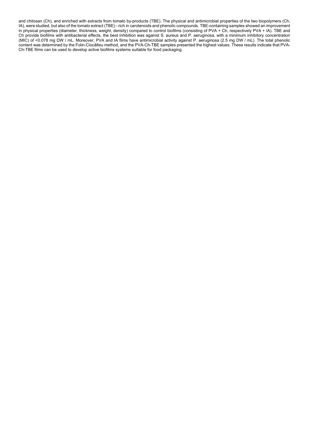and chitosan (Ch), and enriched with extracts from tomato by-products (TBE). The physical and antimicrobial properties of the two biopolymers (Ch, IA), were studied, but also of the tomato extract (TBE) - rich in carotenoids and phenolic compounds. TBE-containing samples showed an improvement in physical properties (diameter, thickness, weight, density) compared to control biofilms (consisting of PVA + Ch, respectively PVA + IA). TBE and Ch provide biofilms with antibacterial effects, the best inhibition was against S. aureus and P. aeruginosa, with a minimum inhibitory concentration (MIC) of ˂0.078 mg DW / mL. Moreover, PVA and IA films have antimicrobial activity against P. aeruginosa (2.5 mg DW / mL). The total phenolic content was determined by the Folin-Ciocâlteu method, and the PVA-Ch-TBE samples presented the highest values. These results indicate that PVA-Ch-TBE films can be used to develop active biofilms systems suitable for food packaging.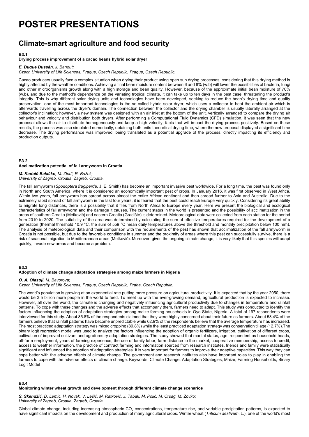## **POSTER PRESENTATIONS**

## **Climate-smart agriculture and food security**

#### **B3.1**

#### **Drying process improvement of a cacao beans hybrid solar dryer**

#### *E. Duque Dussán, J. Banout;*

*Czech University of Life Sciences, Prague, Czech Republic, Prague, Czech Republic.* 

Cacao producers usually face a complex situation when drying their product using open sun drying processes, considering that this drying method is highly affected by the weather conditions. Achieving a final bean moisture content between 6 and 8% (w.b) will lower the possibilities of bacteria, fungi and other microorganisms growth along with a high storage and bean quality. However, because of the approximate initial bean moisture of 70% (w.b), and due to the method's dependence on the variating tropical climate, it can take up to ten days in the best case, threatening the product's integrity. This is why different solar drying units and technologies have been developed, seeking to reduce the bean's drying time and quality preservation; one of the most important technologies is the so-called hybrid solar dryer, which uses a collector to heat the ambient air which is afterwards travelling across the dryer's domain. The connection between the collector and the drying chamber is usually laterally arranged at the collector's inclination; however, a new system was designed with an air inlet at the bottom of the unit, vertically arranged to compare the drying air behaviour and velocity and distribution both dryers. After performing a Computational Fluid Dynamics (CFD) simulation, it was seen that the new proposal allows the air to distribute homogeneously and keep a high velocity, facts that will impact the drying process positively. Based on these results, the process was also simulated numerically, obtaining both units theoretical drying time, where the new proposal displayed a significant time decrease. The drying performance was improved, being translated as a potential upgrade of the process, directly impacting its efficiency and production outputs.

#### **B3.2 Acclimatization potential of fall armyworm in Croatia**

*M. Kadoić Balaško, M. Zlodi, R. Bažok; University of Zagreb, Croatia, Zagreb, Croatia.* 

The fall armyworm (*Spodoptera frugiperda*, J. E. Smith) has become an important invasive pest worldwide. For a long time, the pest was found only in North and South America, where it is considered an economically important pest of crops. In January 2016, it was first observed in West Africa. Within two years, fall armyworm has spread across almost the entire African continent and then spread further to Asia and Australia. Due to the extremely rapid spread of fall armyworm in the last four years, it is feared that the pest could reach Europe very quickly. Considering its great ability to migrate long distances, there is a possibility that it flies from North Africa to Europe every year. Here we present the biological and ecological characteristics of fall armyworm and the damage it causes. The current status in the world is presented and the possibility of acclimatization in the areas of southern Croatia (Metković) and eastern Croatia (Gradište) is determined. Meteorological data were collected from each station for the period from 2010 to 2020. The suitability of the area was determined by calculating the sum of effective temperatures required for the development of a generation (thermal threshold 10.9 °C, the sum of 559 °C mean daily temperatures above the threshold and monthly precipitation below 100 mm). The analysis of meteorological data and their comparison with the requirements of the pest has shown that acclimatization of the fall armyworm in Croatia is not possible, but due to the favorable conditions in summer and the proximity of areas where this pest can successfully survive, there is a risk of seasonal migration to Mediterranean areas (Metković). Moreover, given the ongoing climate change, it is very likely that this species will adapt quickly, invade new areas and become a problem.

#### **B3.3**

#### **Adoption of climate change adaptation strategies among maize farmers in Nigeria**

#### *O. A. Olasoji, M. Bavorova;*

*Czech University of Life Sciences, Prague, Czech Republic, Praha, Czech Republic.* 

The world's population is growing at an exponential rate putting more pressure on agricultural productivity. It is expected that by the year 2050, there would be 3.5 billion more people in the world to feed. To meet up with the ever-growing demand, agricultural production is expected to increase. However, all over the world, the climate is changing and negatively influencing agricultural productivity due to changes in temperature and rainfall patterns. To cope with these changes and the adverse effects that accompany them, farmers need to adapt. This study was conducted to identify the factors influencing the adoption of adaptation strategies among maize farming households in Ovo State. Nigeria. A total of 197 respondents were interviewed for this study. About 85.8% of the respondents claimed that they were highly concerned about their future as farmers. About 58.4% of the farmers believe that rainfall patterns have become unpredictable while 62.9% of the respondents believe that the average temperature has increased. The most practiced adaptation strategy was mixed cropping (89.8%) while the least practiced adaptation strategy was conservation tillage (12.7%).The binary logit regression model was used to analyze the factors influencing the adoption of organic fertilizers, irrigation, cultivation of different crops, cultivation of improved cultivars and agroforestry adaptation strategies. The study showed that marital status, age, respondent as household heads, off-farm employment, years of farming experience, the use of family labor, farm distance to the market, cooperative membership, access to credit, access to weather information, the practice of contract farming and information sourced from research institutes, friends and family were statistically significant and influenced the adoption of adaptation strategies. It is very important for farmers to improve their adaptive capacities. This way they can cope better with the adverse effects of climate change. The government and research institutes also have important roles to play in enabling the farmers to cope with the adverse effects of climate change. Keywords: Climate Change, Adaptation Strategies, Maize, Farming Households, Binary Logit Model

#### **B3.4**

#### **Monitoring winter wheat growth and development through different climate change scenarios**

*S. Skendžić, D. Lemić, H. Novak, V. Lešić, M. Ratković, J. Tabak, M. Polić, M. Orsag, M. Zovko; University of Zagreb, Croatia, Zagreb, Croatia.* 

Global climate change, including increasing atmospheric  $CO<sub>2</sub>$  concentrations, temperature rise, and variable precipitation patterns, is expected to have significant impacts on the development and production of many agricultural crops. Winter wheat (*Triticum aestivum*, L.), one of the world's most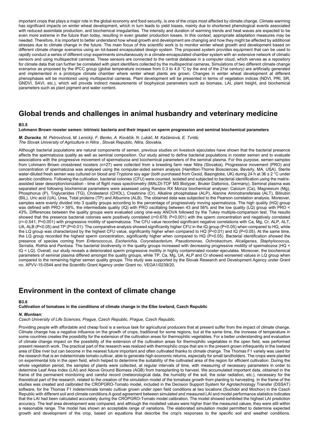important crops that plays a major role in the global economy and food security, is one of the crops most affected by climate change. Climate warming has significant impacts on winter wheat development, which in turn leads to yield losses, mainly due to shortened phenological events associated with reduced assimilate production, and biochemical irregularities. The intensity and duration of warming trends and heat waves are expected to be even more extreme in the future than today, resulting in even greater production losses. In this context, appropriate adaptation measures may be needed. Therefore, it is important to better understand how wheat growth and development are changing and how they might be affected by additional stresses due to climate change in the future. The main focus of this scientific work is to monitor winter wheat growth and development based on different climate change scenarios using an Iot-based encapsulated design system. The proposed system provides equipment that can be used to rapidly conduct a series of different crop experiments simultaneously in a climate-encapsulated chamber system with an extensive network of climatic sensors and using multispectral cameras. These sensors are connected to the central database in a computer cloud, which serves as a repository for climate data that can further be correlated with plant identifiers collected by the multispectral cameras. Simulations of two different climate change scenarios as proposed by the IPCC group (global temperature increase from 0.3 to 4.8 °C by the end of the 21st century) are artificially generated and implemented in a prototype climate chamber where winter wheat plants are grown. Changes in winter wheat development at different phenophases will be monitored using multispectral cameras. Plant development will be presented in terms of vegetation indices (NDVI, PRI, SR, GNDVI, SAVI, etc.), which will provide indirect measurements of biophysical parameters such as biomass, LAI, plant height, and biochemical parameters such as plant pigment and water content.

## **Global trends and challenges in animal husbandry and veterinary medicine**

#### **B3.5**

#### **Lohmann Brown rooster semen: intrinsic bacteria and their impact on sperm progression and seminal biochemical parameters**

*M. Duracka, M. Petrovičová, M. Lenický, F. Benko, A. Kováčik, N. Lukáč, M. Kačániová, E. Tvrdá; The Slovak University of Agriculture in Nitra , Slovak Republic, Nitra, Slovakia.* 

Although bacterial populations are natural components of semen, previous studies on livestock ejaculates have shown that the bacterial presence affects the spermatozoa quality as well as seminal composition. Our study aimed to define bacterial populations in rooster semen and to evaluate associations with the progressive movement of spermatozoa and biochemical parameters of the seminal plasma. For this purpose, semen samples from Lohmann Brown crossbreed roosters (n=27) were collected from a breeding farm near Nitra (Slovakia). Progressive movement (PRO) and concentration of spermatozoa was analysed using the computer-aided semen analysis (Hamilton-Thorne Biosciences, Beverly, MA, USA). Sterile water-diluted fresh semen was cultured on blood and Tryptone soy agar (both purchased from Oxoid, Basingtoke, UK) during 24 h at 36 ± 2 °C under aerobic conditions. Following the cultivation, bacterial colonies (CFU) were counted, isolated and subjected to bacterial identification using the matrixassisted laser desorption/ionization - time of flight mass spectrometry (MALDI-TOF MS Biotyper, Bruker Daltonics, Germany). Seminal plasma was separated and following biochemical parameters were assessed using Randox RX Monza biochemical analyser: Calcium (Ca), Magnesium (Mg), Phosphorus (P), Triglycerides (TG), Cholesterol (CHOL), Creatinine (Cr), Alkaline phosphatase (ALP), Alanine Aminotransferase (ALT), Bilirubin (BIL), Uric acid (UA), Urea, Total proteins (TP) and Albumins (ALB). The obtained data was subjected to the Pearson correlation analysis. Moreover, samples were evenly divided into 3 quality groups according to the percentage of progressively moving spermatozoa. The high quality (HQ) group was defined with PRO > 56%, the intermediate quality (IQ) with PRO oscillating between 43 and 56% and the low quality (LQ) group with PRO < 43%. Differences between the quality groups were evaluated using one-way ANOVA followed by the Tukey multiple-comparison test. The results showed that the presence bacterial colonies were positively correlated (r=0.678; P<0.001) with the sperm concentration and negatively correlated (r=-0.541; P<0.001) with progressive motility of spermatozoa. The CFU value recorded significant negative correlations with Ca, Mg, Cr, ALP, ALT, UA, ALB (P<0.05) and TP (P<0.01). The comparative analysis showed significantly higher CFU in the IQ group (P<0.05) when compared to HQ, while the LQ group was characterized by the highest CFU value, significantly higher when compared to HQ (P<0.01) and IQ (P<0.05). At the same time, the LQ group recorded the highest sperm concentration, significantly higher when compared to HQ (P<0.05). Bacterial identification showed the presence of species coming from *Enterococcus, Escherichia, Corynebacterium, Pseudomonas, Ochrobactrum, Alcaligenes, Staphylococcus, Serratia, Rothia* and *Pantoea*. The bacterial biodiversity in the quality groups increased with decreasing progressive motility of spermatozoa (HQ < IQ < LQ). Overall, our study reveals a deteriorated sperm progressive motility in highly contaminated rooster ejaculates. Moreover, the biochemical parameters of seminal plasma differed amongst the quality groups, while TP, Ca, Mg, UA, ALP and Cr showed worsened values in LQ group when compared to the remaining higher semen quality groups. This study was supported by the Slovak Research and Development Agency under Grant no. APVV-15-0544 and the Scientific Grant Agency under Grant no. VEGA1/0239/20.

## **Environment in the context of climate change**

#### **B3.6**

**Cultivation of tomatoes in the conditions of climate change in the Elbe lowland, Czech Republic** 

#### *N. Muntean;*

*Czech University of Life Sciences, Prague, Czech Republic, Prague, Czech Republic.* 

Providing people with affordable and cheap food is a serious task for agricultural producers that at present suffer from the impact of climate change. Climate change has a negative influence on the growth of crops, traditional for some regions, but at the same time, the increase of temperature in some countries creates the possibility for the extension of the cultivation areas for thermophilic vegetables. For a better understanding and evaluation of climate change impact on the possibility of the extension of the cultivation areas for thermophilic vegetables in the open field, was performed present research work. The practical part of the research was realized with thermophilic crops that are in the present grown infrequently in the lowland area of Elbe river but can become in the nearest future important and often cultivated thanks to climate change. The Thomas F1 variety was used for the research that is an indeterminate tomato cultivar, able to generate high economic returns, especially for small landholders. The crops were planted on experimental lots in the open field, which helped to determine the suitability of the cultivated area of the region for efficient cultivation. During the whole vegetation period, the samples of plants were collected, at regular intervals of time, with measuring of necessary parameters in order to determine Leaf Area Index (LAI) and Above Ground Biomass (AGB) from transplanting to harvest. We accumulated important data, obtained in the frame of the permanent monitoring and careful record (meteorological data, the humidity of the soil, the solar radiation, etc.), necessary for the theoretical part of the research, related to the creation of the simulation model of the tomatoes growth from planting to harvesting. In the frame of the studies was created and calibrated the CROPGRO-Tomato model, included in the Decision Support System for Agrotechnology Transfer (DSSAT) software, for the Thomas F1 indeterminate tomato cultivar grown under open field conditions at two locations (Suchdol and Mochov) in the Czech Republic with different soil and climate conditions A good agreement between simulated and measured LAI and model performance statistics indicates that the LAI had been calculated accurately during the CROPGRO-Tomato model calibration. The model showed exhibited the highest LAI prediction accuracy. The leaf area development was compared, and although the modelled values were higher than the measured values, they were still within a reasonable range. The model has shown an acceptable range of variations. The elaborated simulation model permitted to determine expected growth and development of the crop, based on equations that describe the crop's responses to the specific soil and weather conditions.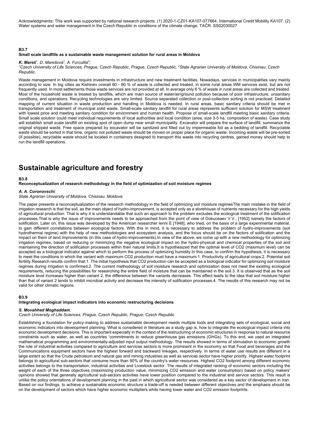Acknowledgments**:** This work was supported by national research projects: (1) 2020-1-CZ01-KA107-077664. International Credit Mobility KA107. (2) Water systems and water management in the Czech Republic in conditions of the climate change. TAČR. SS02030027

#### **B3.7**

#### **Small scale landfills as a sustainable waste management solution for rural areas in Moldova**

### *K. Mareš<sup>1</sup>, D. Marešová<sup>1</sup>, A. Furculita<sup>2</sup>;<br><sup>1</sup>Czech University of Life Sciences, Prac*

Czech University of Life Sciences, Prague, Czech Republic, Prague, Czech Republic, <sup>2</sup>State Agrarian University of Moldova, Chisinau, Czech *Republic.* 

Waste management in Moldova require investments in infrastructure and new treatment facilities. Nowadays, services in municipalities vary mainly according to size. In big cities as Kishinev overall 60 - 90 % of waste is collected and treated, in some rural areas WM services exist, but are not frequently used. In most settlements those waste services are not provided at all. In average only 6 % of waste in rural areas are collected and treated. Most of the household waste is treated by landfills, which are main source of water/air/ground pollution because of poor infrastructure, unsanitary conditions, and operations. Recycling technologies are very limited. Source separated collection or post-collection sorting is not practiced. Detailed mapping of current situation in waste production and handling in Moldova is needed. In rural areas, basic sanitary criteria should be met in transportation and treatment of municipal solid waste. Small-scale sanitary landfill for rural areas represents sufficient solution for MSW treatment with lowest price and meeting sanitary condition for environment and human health. Propose of small-scale landfill meeting basic sanitary criteria. Small scale solution could meet individual requirements of local authorities and local condition (area, size 3-5 ha, composition of waste). Case study will establish small scale landfill on existing spot of open dump near small municipality. Excavator will prepare the surface of landfill, summarize the original shipped waste. Free space prepared by excavator will be sanitized and filled out by impermeable foil as a bedding of landfill. Recyclable waste should be sorted in that time, organic not polluted waste should be moved on proper place for organic waste. Incoming waste will be pre-sorted (If possible), recyclable waste should be located in containers designed to transport this waste into recycling centres, gained money should help to run the landfill operations.

### **Sustainable agriculture and forestry**

#### **B3.8**

#### **Reconceptualization of research methodology in the field of optimization of soil moisture regimes**

#### *A. A. Coronovschi;*

*State Agrarian University of Moldova, Chisinau, Moldova* 

The paper presents a reconceptualization of the research methodology in the field of optimizing soil moisture regimesThe main mistake in the field of irrigation research is that the soil, as the main object of hydro-improvement, is accepted only as a storehouse of nutrients necessary for the high yields of agricultural production. That is why it is understandable that such an approach to the problem excludes the ecological treatment of the solification processes.That is why the issue of improvements needs to be approached from the point of view of Dokuceaev V.V., [1952] namely the factors of solification. Later on, this issue was developed by the American researcher Ienni E [1948], who tried, on the basis of a large experimental material, to gain different correlations between ecological factors. With this in mind, it is necessary to address the problem of hydro-improvements (soil hydrothermal regime) with the help of new methodologies and ecosystem analysis, and the focus should be on the factors of solification and the impact on them of land improvements (in this case of hydro-improvements).In view of the above, we come up with a new methodology for optimizing irrigation regimes, based on reducing or minimizing the negative ecological impact on the hydro-physical and chemical properties of the soil and maintaining the direction of solification processes within their natural limits.It is hypothesized that the optimal level of CO2 (maximum level) can be accepted as a biological indicator against which to perform the process of optimizing humidity.In this case, to confirm the hypothesis, it is necessary to meet the conditions in which the variant with maximum CO2 production must have a maximum:1. Productivity of agricultural crops.2. Potential soil fertility.Research results confirm that:1. The initial hypothesis that CO2 production can be accepted as a biological indicator for optimizing soil moisture regimes during irrigation is confirmed.2. The current methodology of soil moisture research and optimization does not meet the existing ecological requirements, reducing the possibilities for researching the entire field of moisture that can be maintained in the soil.3. It is observed that as the soil moisture level increases higher than variant 2, the difference between the variants decreases. This effect leads to the idea that soil moisture higher than that of variant 2 tends to inhibit microbial activity and decrease the intensity of solification processes.4. The results of this research may not be valid for other climatic regions.

#### **B3.9**

#### **Integrating ecological impact indicators into economic restructuring decisions**

#### *S. Movahhed Moghaddam;*

*Czech University of Life Sciences, Prague, Czech Republic, Prague, Czech Republic* 

Establishing a foundation for policy-making to address sustainable development needs multiple tools and integrating sets of ecological, social and economic indicators into development planning. What is considered in literature as a study gap is, how to integrate the ecological impact criteria into economic development decisions. This is important especially in the context of the restructuring of economic structures in response to natural resource constraints such as water, as well as countries 'commitments to reduce greenhouse gas emissions (GHGs). To this end, we used an integrated mathematical programming and environmentally-adjusted input output methodology. The results showed in terms of stimulation to economic growth the role of industrial activities compared to agriculture and services sectors is more prominent in the economy so that Food and beverages and the Communications equipment sectors have the highest forward and backward linkages, respectively. In terms of water use results are different in a large extent so that the Crude petroleum and natural gas and mining industries as well as services sector have higher priority. Highest water footprint belongs to agricultural sub-sectors that consume more than 90% of the country's water resources. Highest CO2 footprint among different economic activities belongs to the transportation, industrial activities and Livestock sector. The results of integrated ranking of economic sectors including the weight of each of the three objectives (maximizing production value, minimizing CO2 emission and water consumption) based on policy makers' opinions showed that generally agricultural sub-sectors activities have lower position compared to the industrial and service sectors. This result is unlike the policy orientations of development planning in the past in which agricultural sector was considered as a key sector of development in Iran. Based on our findings, to achieve a sustainable economic structure a trade-off is needed between different objectives and the emphasis should be on the development of sectors which have higher economic multipliers while having lower water and CO2 emission footprints.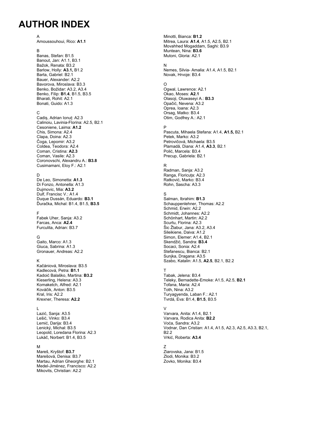## **AUTHOR INDEX**

#### A Amoussouhoui, Rico: **A1.1**

B Banas, Stefan: B1.5 Banout, Jan: A1.1, B3.1 Bažok, Renata: B3.2 Barlow, Holly: **A3.1,** B1.2 Barta, Gabriel: B2.1 Bauer, Alexander: A2.2 Bavorova, Miroslava: B3.3 Benko, Božidar: A3.2, A3.4 Benko, Filip: **B1.4**, B1.5, B3.5 Bharati, Rohit: A2.1 Bonati, Guido: A1.3

#### C

Cadiș, Adrian Ionuț: A2.3 Calinoiu, Lavinia-Florina: A2.5, B2.1 Cesoniene, Laima: **A1.2** Chis, Simona: A2.4 Clapa, Doina: A2.3 Čoga, Lepomir: A3.2 Coldea, Teodora: A2.4 Coman, Cristina: **A2.3** Coman, Vasile: A2.3 Coronovschi, Alexandru A.: **B3.8** Cusimamani, Eloy F.: A2.1

#### D

De Leo, Simonetta: **A1.3** Di Fonzo, Antonella: A1.3 Dujmovic, Mia: **A3.2** Dulf, Francisc V.: A1.4 Duque Dussán, Eduardo: **B3.1** Ďuračka, Michal: B1.4, B1.5, **B3.5**

#### F

Fabek Uher, Sanja: A3.2 Farcas, Anca: **A2.4** Furculita, Adrian: B3.7

#### G

Gaito, Marco: A1.3 Giuca, Sabrina: A1.3 Gronauer, Andreas: A2.2

#### K

Kačániová, Miroslava: B3.5 Kadlecová, Petra: **B1.1** Kadoić Balaško, Martina: **B3.2** Kieserling, Helena: A3.3 Komaketch, Alfred: A2.1 Kováčik, Anton: B3.5 Kral, Iris: A2.2 Krexner, Theresa: **A2.2**

#### L

Lazić, Sanja: A3.5 Lešić, Vinko: B3.4 Lemić, Darija: B3.4 Lenický, Michal: B3.5 Leopold, Loredana Florina: A2.3 Lukáč, Norbert: B1.4, B3.5

#### M

Mareš, Kryštof: **B3.7** Marešová, Denisa: B3.7 Martau, Adrian Gheorghe: B2.1 Medel-Jiménez, Francisco: A2.2 Mikovits, Christian: A2.2

Minotti, Bianca: **B1.2** Mitrea, Laura: **A1.4**, A1.5, A2.5, B2.1 Movahhed Mogaddam, Saghi: B3.9 Muntean, Nina: **B3.6** Mutoni, Gloria: A2.1

#### N

Nemes, Silvia- Amalia: A1.4, A1.5, B2.1 Novak, Hrvoje: B3.4

#### O

Ogwal, Lawrence: A2.1 Okao, Moses: **A2.1** Olasoji, Oluwaseyi A.: **B3.3** Opačić, Nevena: A3.2 Oprea, Ioana: A2.3 Orsag, Matko: B3.4 Otim, Godfrey A.: A2.1

#### P

Pascuta, Mihaela Stefana: A1.4, **A1.5,** B2.1 Petek, Marko: A3.2 Petrovičová, Michaela: B3.5 Plamadă, Diana: A1.4, **A3.3**, B2.1 Polić, Marcela: B3.4 Precup, Gabriela: B2.1

#### R

Radman, Sanja: A3.2 Ranga, Floricuța: A2.3 Ratković, Marko: B3.4 Rohn, Sascha: A3.3

#### S

Salman, Ibrahim: **B1.3** Schauppenlehner, Thomas: A2.2 Schmid, Erwin: A2.2 Schmidt, Johannes: A2.2 Schönhart, Martin: A2.2 Scurtu, Florina: A2.3 Šic Žlabur, Jana: A3.2, A3.4 Sileikiene, Daiva: A1.2 Simon, Elemer: A1.4, B2.1 Skendžić, Sandra: **B3.4** Socaci, Sonia: A2.4 Stefanescu, Bianca: B2.1 Sunjka, Dragana: A3.5 Szabo, Katalin: A1.5, **A2.5**, B2.1, B2.2

#### T

Tabak, Jelena: B3.4 Teleky, Bernadette-Emoke: A1.5, A2.5, **B2.1** Tofana, Maria: A2.4 Toth, Nina: A3.2 Turyagyenda, Laban F.: A2.1 Tvrdá, Eva: B1.4, **B1.5**, B3.5

#### V

Varvara, Anita: A1.4, B2.1 Varvara, Rodica Anita: **B2.2** Voća, Sandra: A3.2 Vodnar, Dan Cristian: A1.4, A1.5, A2.3, A2.5, A3.3, B2.1, B2.2 Vrkić, Roberta: **A3.4**

#### Z

Ziarovska, Jana: B1.5 Zlodi, Monika: B3.2 Zovko, Monika: B3.4